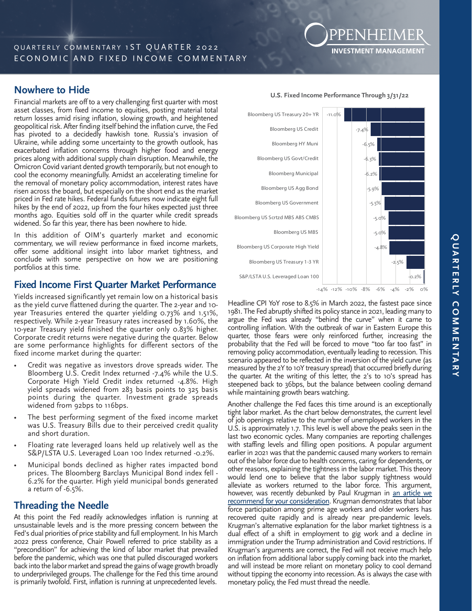# **Nowhere to Hide**

Financial markets are off to a very challenging first quarter with most asset classes, from fixed income to equities, posting material total return losses amid rising inflation, slowing growth, and heightened geopolitical risk. After finding itself behind the inflation curve, the Fed has pivoted to a decidedly hawkish tone. Russia's invasion of Ukraine, while adding some uncertainty to the growth outlook, has exacerbated inflation concerns through higher food and energy prices along with additional supply chain disruption. Meanwhile, the Omicron Covid variant dented growth temporarily, but not enough to cool the economy meaningfully. Amidst an accelerating timeline for the removal of monetary policy accommodation, interest rates have risen across the board, but especially on the short end as the market priced in Fed rate hikes. Federal funds futures now indicate eight full hikes by the end of 2022, up from the four hikes expected just three months ago. Equities sold off in the quarter while credit spreads widened. So far this year, there has been nowhere to hide.

In this addition of OIM's quarterly market and economic commentary, we will review performance in fixed income markets, offer some additional insight into labor market tightness, and conclude with some perspective on how we are positioning portfolios at this time.

## **Fixed Income First Quarter Market Performance**

Yields increased significantly yet remain low on a historical basis as the yield curve flattened during the quarter. The 2-year and 10 year Treasuries entered the quarter yielding 0.73% and 1.51%, respectively. While 2-year Treasury rates increased by 1.60%, the 10-year Treasury yield finished the quarter only 0.83% higher. Corporate credit returns were negative during the quarter. Below are some performance highlights for different sectors of the fixed income market during the quarter:

- Credit was negative as investors drove spreads wider. The Bloomberg U.S. Credit Index returned -7.4% while the U.S. Corporate High Yield Credit index returned -4.8%. High yield spreads widened from 283 basis points to 325 basis points during the quarter. Investment grade spreads widened from 92bps to 116bps.
- The best performing segment of the fixed income market was U.S. Treasury Bills due to their perceived credit quality and short duration.
- Floating rate leveraged loans held up relatively well as the S&P/LSTA U.S. Leveraged Loan 100 Index returned -0.2%.
- Municipal bonds declined as higher rates impacted bond prices. The Bloomberg Barclays Municipal Bond index fell - 6.2% for the quarter. High yield municipal bonds generated a return of -6.5%.

## **Threading the Needle**

At this point the Fed readily acknowledges inflation is running at unsustainable levels and is the more pressing concern between the Fed's dual priorities of price stability and full employment. In his March 2022 press conference, Chair Powell referred to price stability as a "precondition" for achieving the kind of labor market that prevailed before the pandemic, which was one that pulled discouraged workers back into the labor market and spread the gains of wage growth broadly to underprivileged groups. The challenge for the Fed this time around is primarily twofold. First, inflation is running at unprecedented levels.



**U.S. Fixed Income Performance Through 3/31/22** 

**INVESTMENT MANAGEMENT** 

Headline CPI YoY rose to 8.5% in March 2022, the fastest pace since 1981. The Fed abruptly shifted its policy stance in 2021, leading many to argue the Fed was already "behind the curve" when it came to controlling inflation. With the outbreak of war in Eastern Europe this quarter, those fears were only reinforced further, increasing the probability that the Fed will be forced to move "too far too fast" in removing policy accommodation, eventually leading to recession. This scenario appeared to be reflected in the inversion of the yield curve (as measured by the 2Y to 10Y treasury spread) that occurred briefly during the quarter. At the writing of this letter, the 2's to 10's spread has steepened back to 36bps, but the balance between cooling demand while maintaining growth bears watching.

Another challenge the Fed faces this time around is an exceptionally tight labor market. As the chart below demonstrates, the current level of job openings relative to the number of unemployed workers in the U.S. is approximately 1.7. This level is well above the peaks seen in the last two economic cycles. Many companies are reporting challenges with staffing levels and filling open positions. A popular argument earlier in 2021 was that the pandemic caused many workers to remain out of the labor force due to health concerns, caring for dependents, or other reasons, explaining the tightness in the labor market. This theory would lend one to believe that the labor supply tightness would alleviate as workers returned to the labor force. This argument, however, was recently debunked by Paul Krugman in an article we [recommend for your consideration.](https://messaging-custom-newsletters.nytimes.com/template/oakv2?campaign_id=116&emc=edit_pk_20220405&instance_id=57645&nl=paul-krugman&productCode=PK®i_id=21256858&segment_id=87550&te=1&uri=nyt%3A%2F%2Fnewsletter%2F561c3368-8ad3-55f9-89b4-09e633dd1f3a&user_id=0ea1b33d0528e2b58d4f0fd21ce7e283) Krugman demonstrates that labor force participation among prime age workers and older workers has recovered quite rapidly and is already near pre-pandemic levels. Krugman's alternative explanation for the labor market tightness is a dual effect of a shift in employment to gig work and a decline in immigration under the Trump administration and Covid restrictions. If Krugman's arguments are correct, the Fed will not receive much help on inflation from additional labor supply coming back into the market, and will instead be more reliant on monetary policy to cool demand without tipping the economy into recession. As is always the case with monetary policy, the Fed must thread the needle.